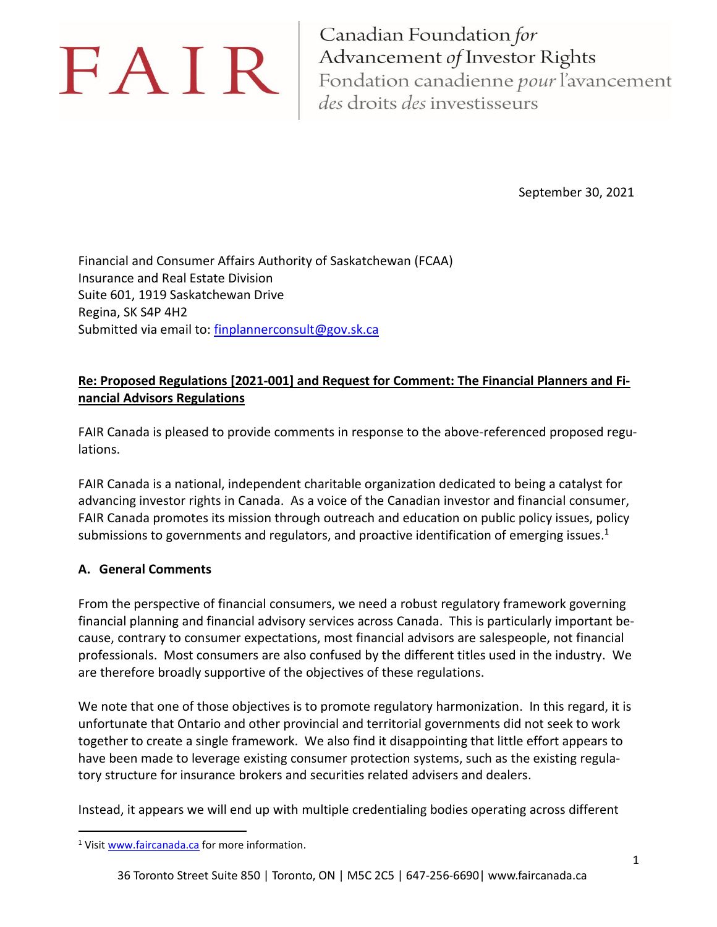# FAIR

Canadian Foundation for Advancement of Investor Rights Fondation canadienne pour l'avancement des droits des investisseurs

September 30, 2021

Financial and Consumer Affairs Authority of Saskatchewan (FCAA) Insurance and Real Estate Division Suite 601, 1919 Saskatchewan Drive Regina, SK S4P 4H2 Submitted via email to: [finplannerconsult@gov.sk.ca](mailto:finplannerconsult@gov.sk.ca)

# **Re: Proposed Regulations [2021-001] and Request for Comment: The Financial Planners and Financial Advisors Regulations**

FAIR Canada is pleased to provide comments in response to the above-referenced proposed regulations.

FAIR Canada is a national, independent charitable organization dedicated to being a catalyst for advancing investor rights in Canada. As a voice of the Canadian investor and financial consumer, FAIR Canada promotes its mission through outreach and education on public policy issues, policy submissions to governments and regulators, and proactive identification of emerging issues.<sup>1</sup>

# **A. General Comments**

From the perspective of financial consumers, we need a robust regulatory framework governing financial planning and financial advisory services across Canada. This is particularly important because, contrary to consumer expectations, most financial advisors are salespeople, not financial professionals. Most consumers are also confused by the different titles used in the industry. We are therefore broadly supportive of the objectives of these regulations.

We note that one of those objectives is to promote regulatory harmonization. In this regard, it is unfortunate that Ontario and other provincial and territorial governments did not seek to work together to create a single framework. We also find it disappointing that little effort appears to have been made to leverage existing consumer protection systems, such as the existing regulatory structure for insurance brokers and securities related advisers and dealers.

Instead, it appears we will end up with multiple credentialing bodies operating across different

<sup>&</sup>lt;sup>1</sup> Visit [www.faircanada.ca](http://www.faircanada.ca/) for more information.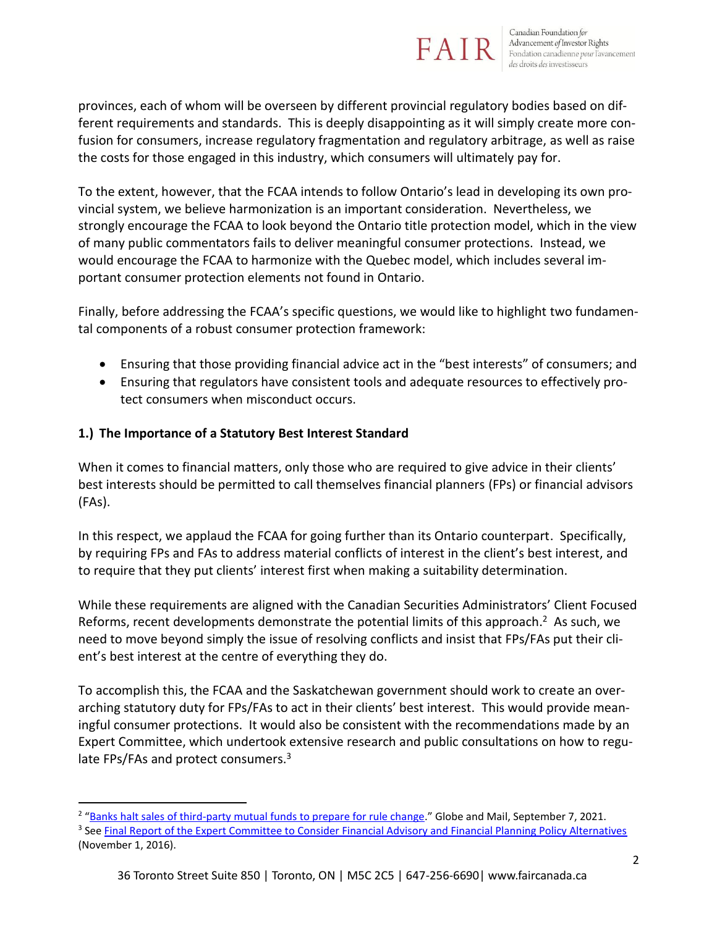

provinces, each of whom will be overseen by different provincial regulatory bodies based on different requirements and standards. This is deeply disappointing as it will simply create more confusion for consumers, increase regulatory fragmentation and regulatory arbitrage, as well as raise the costs for those engaged in this industry, which consumers will ultimately pay for.

To the extent, however, that the FCAA intends to follow Ontario's lead in developing its own provincial system, we believe harmonization is an important consideration. Nevertheless, we strongly encourage the FCAA to look beyond the Ontario title protection model, which in the view of many public commentators fails to deliver meaningful consumer protections. Instead, we would encourage the FCAA to harmonize with the Quebec model, which includes several important consumer protection elements not found in Ontario.

Finally, before addressing the FCAA's specific questions, we would like to highlight two fundamental components of a robust consumer protection framework:

- Ensuring that those providing financial advice act in the "best interests" of consumers; and
- Ensuring that regulators have consistent tools and adequate resources to effectively protect consumers when misconduct occurs.

## **1.) The Importance of a Statutory Best Interest Standard**

When it comes to financial matters, only those who are required to give advice in their clients' best interests should be permitted to call themselves financial planners (FPs) or financial advisors (FAs).

In this respect, we applaud the FCAA for going further than its Ontario counterpart. Specifically, by requiring FPs and FAs to address material conflicts of interest in the client's best interest, and to require that they put clients' interest first when making a suitability determination.

While these requirements are aligned with the Canadian Securities Administrators' Client Focused Reforms, recent developments demonstrate the potential limits of this approach.<sup>2</sup> As such, we need to move beyond simply the issue of resolving conflicts and insist that FPs/FAs put their client's best interest at the centre of everything they do.

To accomplish this, the FCAA and the Saskatchewan government should work to create an overarching statutory duty for FPs/FAs to act in their clients' best interest. This would provide meaningful consumer protections. It would also be consistent with the recommendations made by an Expert Committee, which undertook extensive research and public consultations on how to regulate FPs/FAs and protect consumers.<sup>3</sup>

<sup>&</sup>lt;sup>2</sup> "[Banks halt sales of third-party mutual funds to prepare for rule change](https://www.theglobeandmail.com/business/article-banks-halt-sales-of-third-party-mutual-funds-to-prepare-for-rule/)." Globe and Mail, September 7, 2021.

<sup>&</sup>lt;sup>3</sup> See <u>Final Report of the Expert Committee to Consider Financial Advisory and Financial Planning Policy Alternatives</u> (November 1, 2016).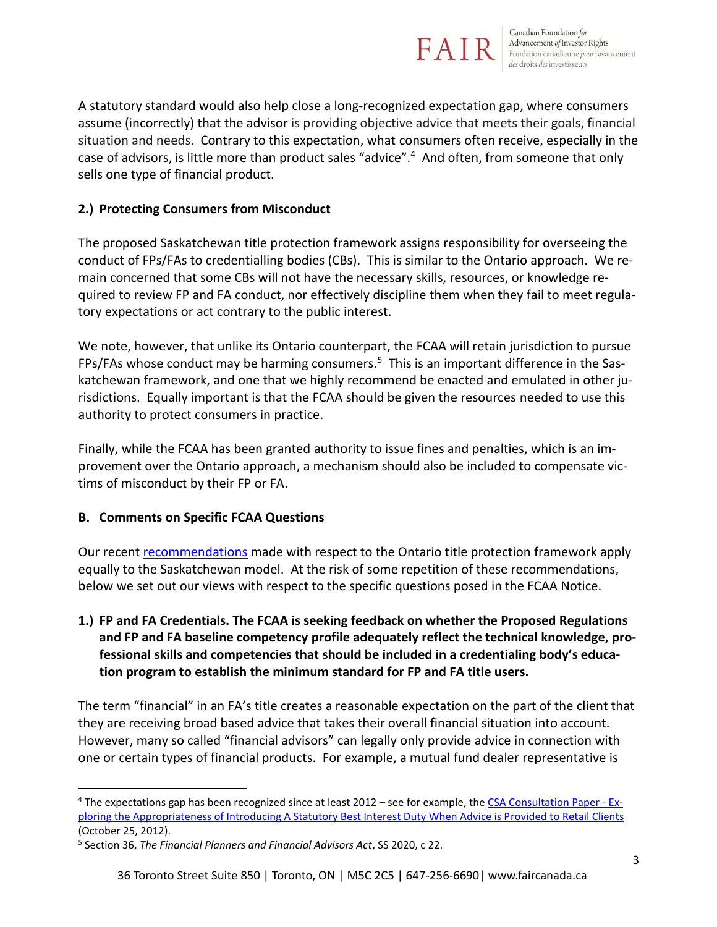

A statutory standard would also help close a long-recognized expectation gap, where consumers assume (incorrectly) that the advisor is providing objective advice that meets their goals, financial situation and needs. Contrary to this expectation, what consumers often receive, especially in the case of advisors, is little more than product sales "advice".<sup>4</sup> And often, from someone that only sells one type of financial product.

#### **2.) Protecting Consumers from Misconduct**

The proposed Saskatchewan title protection framework assigns responsibility for overseeing the conduct of FPs/FAs to credentialling bodies (CBs). This is similar to the Ontario approach. We remain concerned that some CBs will not have the necessary skills, resources, or knowledge required to review FP and FA conduct, nor effectively discipline them when they fail to meet regulatory expectations or act contrary to the public interest.

We note, however, that unlike its Ontario counterpart, the FCAA will retain jurisdiction to pursue FPs/FAs whose conduct may be harming consumers. <sup>5</sup> This is an important difference in the Saskatchewan framework, and one that we highly recommend be enacted and emulated in other jurisdictions. Equally important is that the FCAA should be given the resources needed to use this authority to protect consumers in practice.

Finally, while the FCAA has been granted authority to issue fines and penalties, which is an improvement over the Ontario approach, a mechanism should also be included to compensate victims of misconduct by their FP or FA.

## **B. Comments on Specific FCAA Questions**

Our recent [recommendations](https://faircanada.ca/wp-content/uploads/2021/07/2021_06_21_FSRA_Title_Protection_Round_2_Comments_Ver.0.pdf) made with respect to the Ontario title protection framework apply equally to the Saskatchewan model. At the risk of some repetition of these recommendations, below we set out our views with respect to the specific questions posed in the FCAA Notice.

**1.) FP and FA Credentials. The FCAA is seeking feedback on whether the Proposed Regulations and FP and FA baseline competency profile adequately reflect the technical knowledge, professional skills and competencies that should be included in a credentialing body's education program to establish the minimum standard for FP and FA title users.**

The term "financial" in an FA's title creates a reasonable expectation on the part of the client that they are receiving broad based advice that takes their overall financial situation into account. However, many so called "financial advisors" can legally only provide advice in connection with one or certain types of financial products. For example, a mutual fund dealer representative is

<sup>&</sup>lt;sup>4</sup> The expectations gap has been recognized since at least 2012 – see for example, the [CSA Consultation Paper -](https://www.osc.ca/sites/default/files/pdfs/irps/csa_20121025_33-403_fiduciary-duty.pdf) Ex[ploring the Appropriateness of Introducing A Statutory Best Interest Duty When Advice is Provided to Retail Clients](https://www.osc.ca/sites/default/files/pdfs/irps/csa_20121025_33-403_fiduciary-duty.pdf) (October 25, 2012).

<sup>5</sup> Section 36, *The Financial Planners and Financial Advisors Act*, SS 2020, c 22.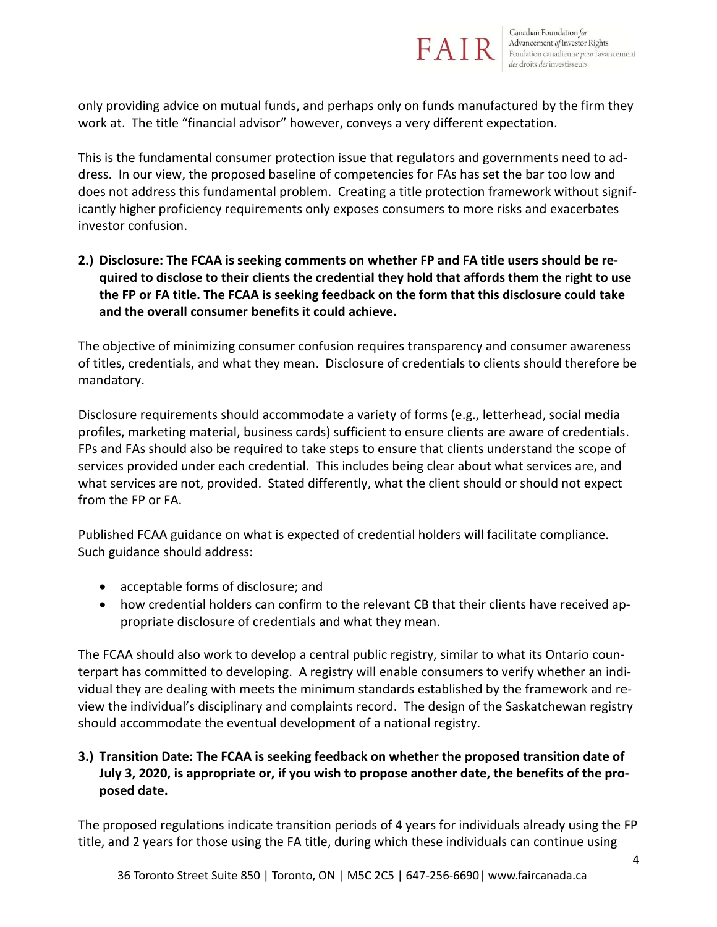

only providing advice on mutual funds, and perhaps only on funds manufactured by the firm they work at. The title "financial advisor" however, conveys a very different expectation.

This is the fundamental consumer protection issue that regulators and governments need to address. In our view, the proposed baseline of competencies for FAs has set the bar too low and does not address this fundamental problem. Creating a title protection framework without significantly higher proficiency requirements only exposes consumers to more risks and exacerbates investor confusion.

**2.) Disclosure: The FCAA is seeking comments on whether FP and FA title users should be required to disclose to their clients the credential they hold that affords them the right to use the FP or FA title. The FCAA is seeking feedback on the form that this disclosure could take and the overall consumer benefits it could achieve.**

The objective of minimizing consumer confusion requires transparency and consumer awareness of titles, credentials, and what they mean. Disclosure of credentials to clients should therefore be mandatory.

Disclosure requirements should accommodate a variety of forms (e.g., letterhead, social media profiles, marketing material, business cards) sufficient to ensure clients are aware of credentials. FPs and FAs should also be required to take steps to ensure that clients understand the scope of services provided under each credential. This includes being clear about what services are, and what services are not, provided. Stated differently, what the client should or should not expect from the FP or FA.

Published FCAA guidance on what is expected of credential holders will facilitate compliance. Such guidance should address:

- acceptable forms of disclosure; and
- how credential holders can confirm to the relevant CB that their clients have received appropriate disclosure of credentials and what they mean.

The FCAA should also work to develop a central public registry, similar to what its Ontario counterpart has committed to developing. A registry will enable consumers to verify whether an individual they are dealing with meets the minimum standards established by the framework and review the individual's disciplinary and complaints record. The design of the Saskatchewan registry should accommodate the eventual development of a national registry.

## **3.) Transition Date: The FCAA is seeking feedback on whether the proposed transition date of July 3, 2020, is appropriate or, if you wish to propose another date, the benefits of the proposed date.**

The proposed regulations indicate transition periods of 4 years for individuals already using the FP title, and 2 years for those using the FA title, during which these individuals can continue using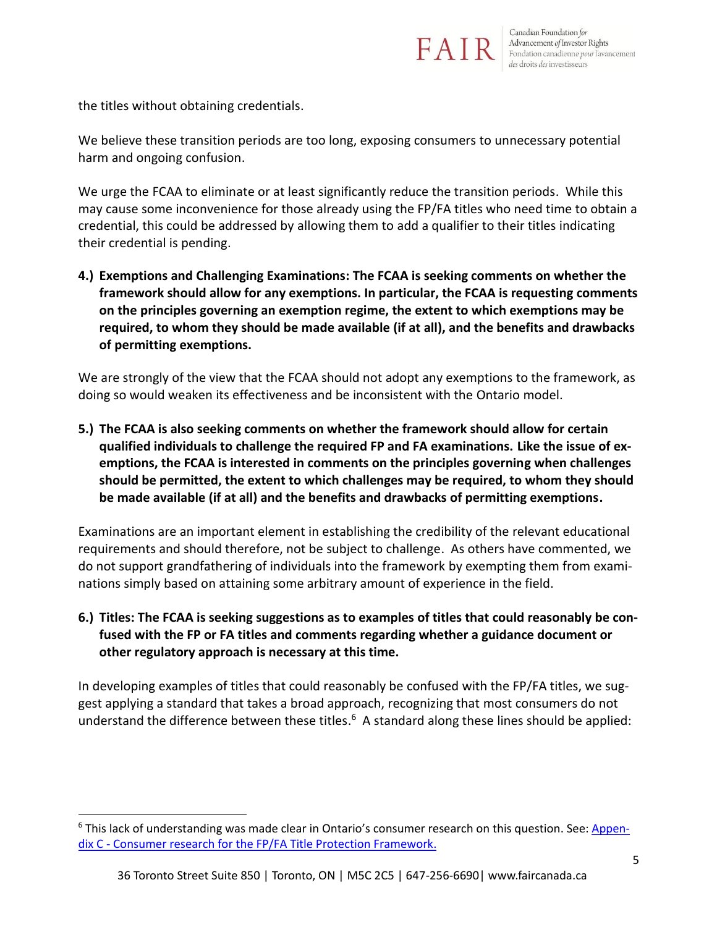

the titles without obtaining credentials.

We believe these transition periods are too long, exposing consumers to unnecessary potential harm and ongoing confusion.

We urge the FCAA to eliminate or at least significantly reduce the transition periods. While this may cause some inconvenience for those already using the FP/FA titles who need time to obtain a credential, this could be addressed by allowing them to add a qualifier to their titles indicating their credential is pending.

**4.) Exemptions and Challenging Examinations: The FCAA is seeking comments on whether the framework should allow for any exemptions. In particular, the FCAA is requesting comments on the principles governing an exemption regime, the extent to which exemptions may be required, to whom they should be made available (if at all), and the benefits and drawbacks of permitting exemptions.**

We are strongly of the view that the FCAA should not adopt any exemptions to the framework, as doing so would weaken its effectiveness and be inconsistent with the Ontario model.

**5.) The FCAA is also seeking comments on whether the framework should allow for certain qualified individuals to challenge the required FP and FA examinations. Like the issue of exemptions, the FCAA is interested in comments on the principles governing when challenges should be permitted, the extent to which challenges may be required, to whom they should be made available (if at all) and the benefits and drawbacks of permitting exemptions.**

Examinations are an important element in establishing the credibility of the relevant educational requirements and should therefore, not be subject to challenge. As others have commented, we do not support grandfathering of individuals into the framework by exempting them from examinations simply based on attaining some arbitrary amount of experience in the field.

**6.) Titles: The FCAA is seeking suggestions as to examples of titles that could reasonably be confused with the FP or FA titles and comments regarding whether a guidance document or other regulatory approach is necessary at this time.**

In developing examples of titles that could reasonably be confused with the FP/FA titles, we suggest applying a standard that takes a broad approach, recognizing that most consumers do not understand the difference between these titles.<sup>6</sup> A standard along these lines should be applied:

<sup>&</sup>lt;sup>6</sup> This lack of understanding was made clear in Ontario's consumer research on this question. See: [Appen](https://www.fsrao.ca/industry/financial-planners-and-advisors-sector/notice-changes-and-request-further-comment-fptp-rule#ftn3)dix C - [Consumer research for the FP/FA Title Protection Framework.](https://www.fsrao.ca/industry/financial-planners-and-advisors-sector/notice-changes-and-request-further-comment-fptp-rule#ftn3)